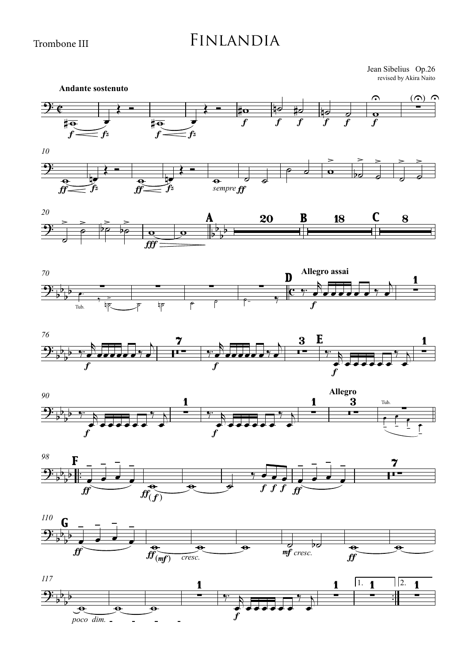Trombone III

## Finlandia

revised by Akira Naito Jean Sibelius Op.26

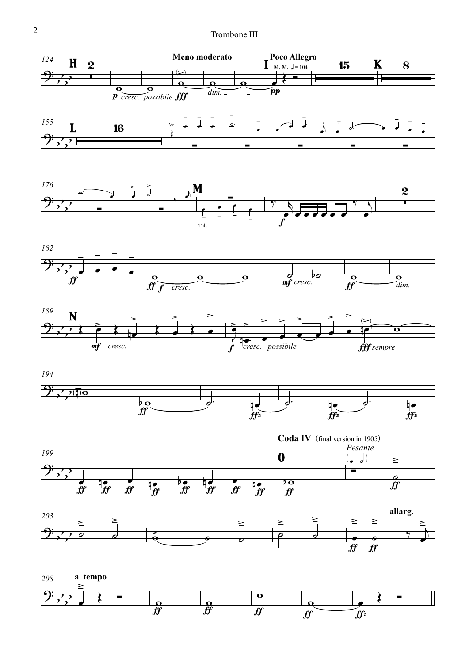